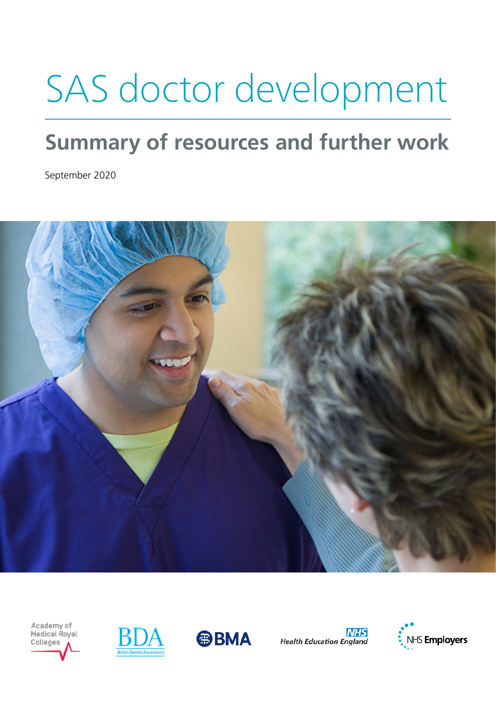# SAS doctor development

### **Summary of resources and further work**

September 2020



Academy of Medical Royal Colleges





**NHS Health Education England** 

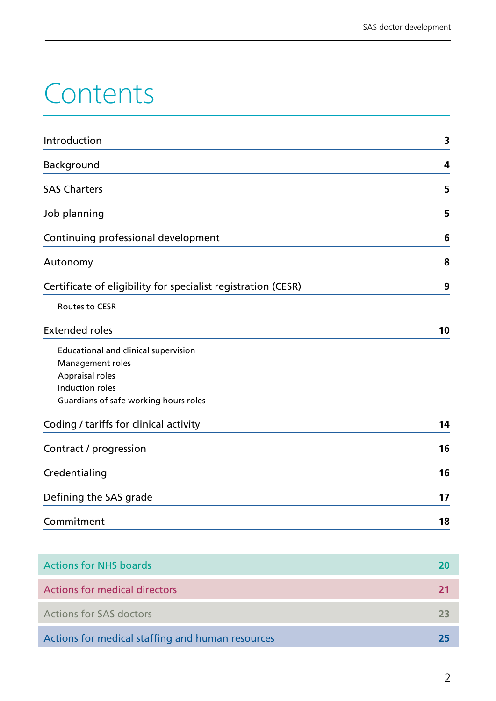## Contents

| Introduction                                                  | 3  |
|---------------------------------------------------------------|----|
| Background                                                    | 4  |
| <b>SAS Charters</b>                                           | 5  |
| Job planning                                                  | 5  |
| Continuing professional development                           | 6  |
| Autonomy                                                      | 8  |
| Certificate of eligibility for specialist registration (CESR) | 9  |
| Routes to CESR                                                |    |
| <b>Extended roles</b>                                         | 10 |
| Educational and clinical supervision                          |    |
| Management roles                                              |    |
| Appraisal roles                                               |    |
| Induction roles                                               |    |
| Guardians of safe working hours roles                         |    |
| Coding / tariffs for clinical activity                        | 14 |
| Contract / progression                                        | 16 |
| Credentialing                                                 | 16 |
| Defining the SAS grade                                        | 17 |
| Commitment                                                    | 18 |

| <b>Actions for NHS boards</b>                    |    |
|--------------------------------------------------|----|
| Actions for medical directors                    |    |
| <b>Actions for SAS doctors</b>                   | フマ |
| Actions for medical staffing and human resources | 75 |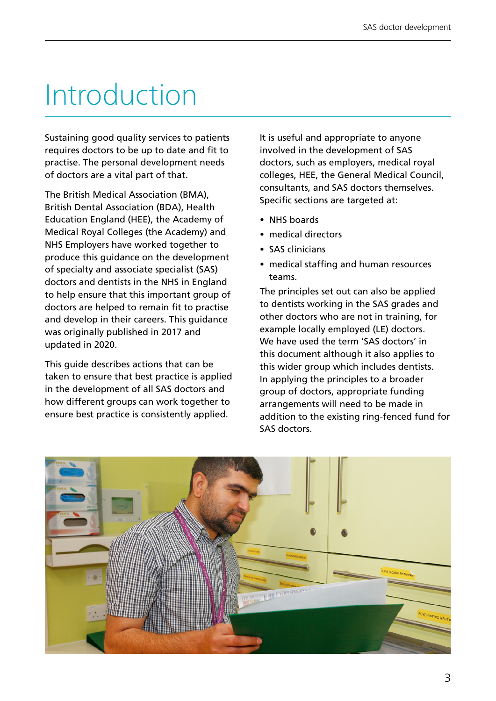## Introduction

Sustaining good quality services to patients requires doctors to be up to date and fit to practise. The personal development needs of doctors are a vital part of that.

The British Medical Association (BMA), British Dental Association (BDA), Health Education England (HEE), the Academy of Medical Royal Colleges (the Academy) and NHS Employers have worked together to produce this guidance on the development of specialty and associate specialist (SAS) doctors and dentists in the NHS in England to help ensure that this important group of doctors are helped to remain fit to practise and develop in their careers. This guidance was originally published in 2017 and updated in 2020.

This guide describes actions that can be taken to ensure that best practice is applied in the development of all SAS doctors and how different groups can work together to ensure best practice is consistently applied.

It is useful and appropriate to anyone involved in the development of SAS doctors, such as employers, medical royal colleges, HEE, the General Medical Council, consultants, and SAS doctors themselves. Specific sections are targeted at:

- NHS boards
- medical directors
- SAS clinicians
- medical staffing and human resources teams.

The principles set out can also be applied to dentists working in the SAS grades and other doctors who are not in training, for example locally employed (LE) doctors. We have used the term 'SAS doctors' in this document although it also applies to this wider group which includes dentists. In applying the principles to a broader group of doctors, appropriate funding arrangements will need to be made in addition to the existing ring-fenced fund for SAS doctors.

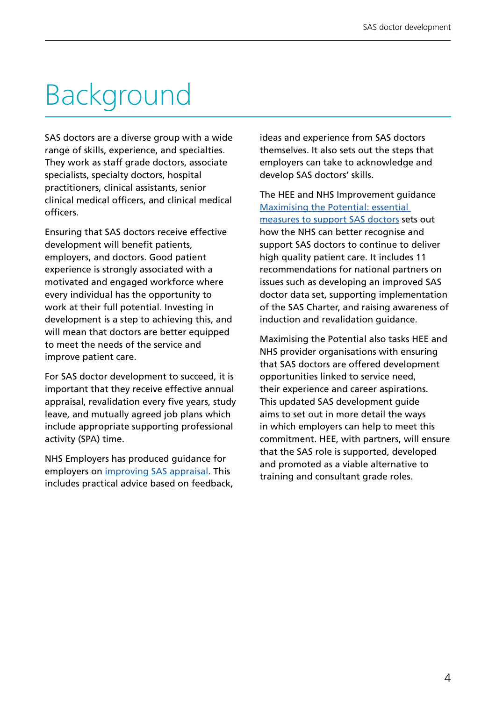## Background

SAS doctors are a diverse group with a wide range of skills, experience, and specialties. They work as staff grade doctors, associate specialists, specialty doctors, hospital practitioners, clinical assistants, senior clinical medical officers, and clinical medical officers.

Ensuring that SAS doctors receive effective development will benefit patients, employers, and doctors. Good patient experience is strongly associated with a motivated and engaged workforce where every individual has the opportunity to work at their full potential. Investing in development is a step to achieving this, and will mean that doctors are better equipped to meet the needs of the service and improve patient care.

For SAS doctor development to succeed, it is important that they receive effective annual appraisal, revalidation every five years, study leave, and mutually agreed job plans which include appropriate supporting professional activity (SPA) time.

NHS Employers has produced guidance for employers on [improving SAS appraisal](http://www.nhsemployers.org/~/media/Employers/Publications/improving-sas-appraisal.pdf). This includes practical advice based on feedback, ideas and experience from SAS doctors themselves. It also sets out the steps that employers can take to acknowledge and develop SAS doctors' skills.

The HEE and NHS Improvement guidance [Maximising the Potential: essential](https://www.hee.nhs.uk/sites/default/files/documents/SAS_Report_Web.pdf)  [measures to support SAS doctors](https://www.hee.nhs.uk/sites/default/files/documents/SAS_Report_Web.pdf) sets out how the NHS can better recognise and support SAS doctors to continue to deliver high quality patient care. It includes 11 recommendations for national partners on issues such as developing an improved SAS doctor data set, supporting implementation of the SAS Charter, and raising awareness of induction and revalidation guidance.

Maximising the Potential also tasks HEE and NHS provider organisations with ensuring that SAS doctors are offered development opportunities linked to service need, their experience and career aspirations. This updated SAS development guide aims to set out in more detail the ways in which employers can help to meet this commitment. HEE, with partners, will ensure that the SAS role is supported, developed and promoted as a viable alternative to training and consultant grade roles.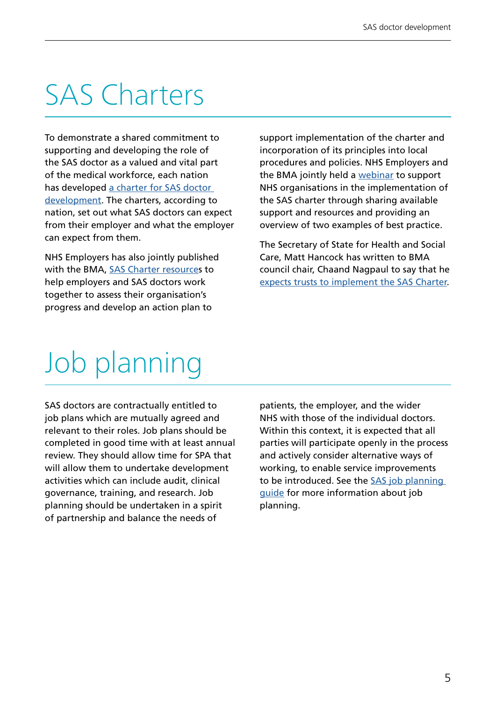## SAS Charters

To demonstrate a shared commitment to supporting and developing the role of the SAS doctor as a valued and vital part of the medical workforce, each nation has developed a charter for SAS doctor [development.](http://www.bma.org.uk/sascharters) The charters, according to nation, set out what SAS doctors can expect from their employer and what the employer can expect from them.

NHS Employers has also jointly published with the BMA, [SAS Charter resource](https://www.nhsemployers.org/pay-pensions-and-reward/medical-staff/sas-doctors/sas-charter)s to help employers and SAS doctors work together to assess their organisation's progress and develop an action plan to

support implementation of the charter and incorporation of its principles into local procedures and policies. NHS Employers and the BMA jointly held a [webinar](https://www.nhsemployers.org/case-studies-and-resources/2019/09/sas-charter-webinar) to support NHS organisations in the implementation of the SAS charter through sharing available support and resources and providing an overview of two examples of best practice.

The Secretary of State for Health and Social Care, Matt Hancock has written to BMA council chair, Chaand Nagpaul to say that he [expects trusts to implement the SAS Charter](https://assets.publishing.service.gov.uk/government/uploads/system/uploads/attachment_data/file/746966/matt-hancock-letter-to-dr-chaand-nagpaul-september-2018.pdf).

## Job planning

SAS doctors are contractually entitled to job plans which are mutually agreed and relevant to their roles. Job plans should be completed in good time with at least annual review. They should allow time for SPA that will allow them to undertake development activities which can include audit, clinical governance, training, and research. Job planning should be undertaken in a spirit of partnership and balance the needs of

patients, the employer, and the wider NHS with those of the individual doctors. Within this context, it is expected that all parties will participate openly in the process and actively consider alternative ways of working, to enable service improvements to be introduced. See the [SAS job planning](https://www.nhsemployers.org/pay-pensions-and-reward/medical-staff/sas-doctors/sas-job-planning-guide)  [guide](https://www.nhsemployers.org/pay-pensions-and-reward/medical-staff/sas-doctors/sas-job-planning-guide) for more information about job planning.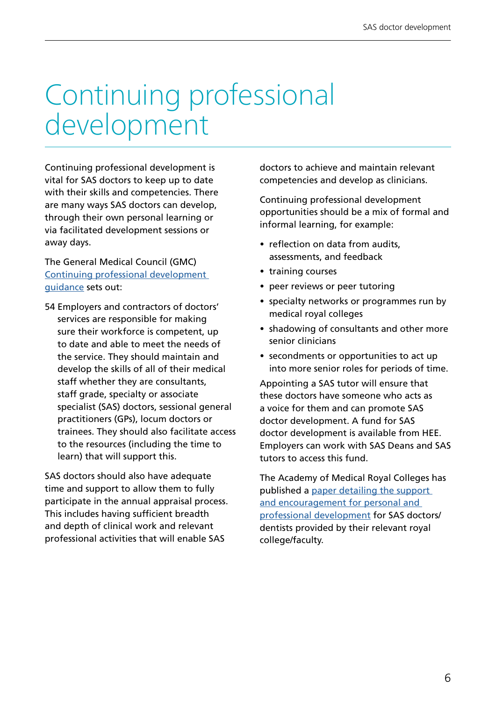## Continuing professional development

Continuing professional development is vital for SAS doctors to keep up to date with their skills and competencies. There are many ways SAS doctors can develop, through their own personal learning or via facilitated development sessions or away days.

The General Medical Council (GMC) [Continuing professional development](https://www.gmc-uk.org/-/media/documents/cpd-guidance-for-all-doctors-0316_pdf-56438625.pdf)  [guidance](https://www.gmc-uk.org/-/media/documents/cpd-guidance-for-all-doctors-0316_pdf-56438625.pdf) sets out:

54 Employers and contractors of doctors' services are responsible for making sure their workforce is competent, up to date and able to meet the needs of the service. They should maintain and develop the skills of all of their medical staff whether they are consultants, staff grade, specialty or associate specialist (SAS) doctors, sessional general practitioners (GPs), locum doctors or trainees. They should also facilitate access to the resources (including the time to learn) that will support this.

SAS doctors should also have adequate time and support to allow them to fully participate in the annual appraisal process. This includes having sufficient breadth and depth of clinical work and relevant professional activities that will enable SAS

doctors to achieve and maintain relevant competencies and develop as clinicians.

Continuing professional development opportunities should be a mix of formal and informal learning, for example:

- reflection on data from audits, assessments, and feedback
- training courses
- peer reviews or peer tutoring
- specialty networks or programmes run by medical royal colleges
- shadowing of consultants and other more senior clinicians
- secondments or opportunities to act up into more senior roles for periods of time.

Appointing a SAS tutor will ensure that these doctors have someone who acts as a voice for them and can promote SAS doctor development. A fund for SAS doctor development is available from HEE. Employers can work with SAS Deans and SAS tutors to access this fund.

The Academy of Medical Royal Colleges has published a [paper detailing the support](https://www.aomrc.org.uk/wp-content/uploads/2020/09/200909_SAS_opportunities_and_support.pdf)  [and encouragement for personal and](https://www.aomrc.org.uk/wp-content/uploads/2020/09/200909_SAS_opportunities_and_support.pdf)  [professional development](https://www.aomrc.org.uk/wp-content/uploads/2020/09/200909_SAS_opportunities_and_support.pdf) for SAS doctors/ dentists provided by their relevant royal college/faculty.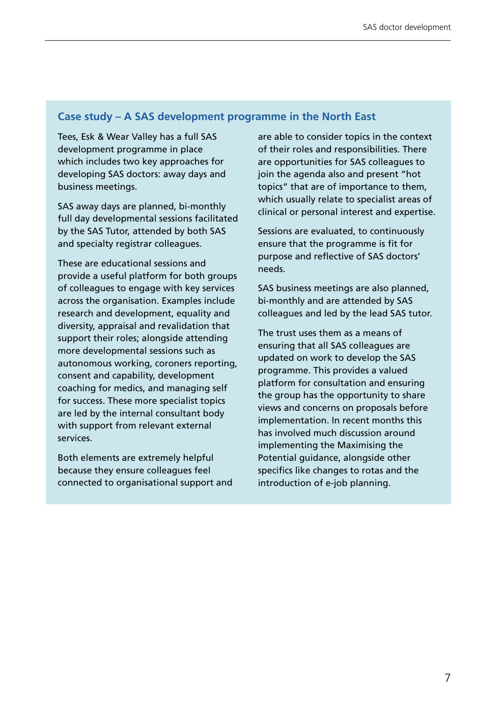#### **Case study – A SAS development programme in the North East**

Tees, Esk & Wear Valley has a full SAS development programme in place which includes two key approaches for developing SAS doctors: away days and business meetings.

SAS away days are planned, bi-monthly full day developmental sessions facilitated by the SAS Tutor, attended by both SAS and specialty registrar colleagues.

These are educational sessions and provide a useful platform for both groups of colleagues to engage with key services across the organisation. Examples include research and development, equality and diversity, appraisal and revalidation that support their roles; alongside attending more developmental sessions such as autonomous working, coroners reporting, consent and capability, development coaching for medics, and managing self for success. These more specialist topics are led by the internal consultant body with support from relevant external services.

Both elements are extremely helpful because they ensure colleagues feel connected to organisational support and are able to consider topics in the context of their roles and responsibilities. There are opportunities for SAS colleagues to join the agenda also and present "hot topics" that are of importance to them, which usually relate to specialist areas of clinical or personal interest and expertise.

Sessions are evaluated, to continuously ensure that the programme is fit for purpose and reflective of SAS doctors' needs.

SAS business meetings are also planned, bi-monthly and are attended by SAS colleagues and led by the lead SAS tutor.

The trust uses them as a means of ensuring that all SAS colleagues are updated on work to develop the SAS programme. This provides a valued platform for consultation and ensuring the group has the opportunity to share views and concerns on proposals before implementation. In recent months this has involved much discussion around implementing the Maximising the Potential guidance, alongside other specifics like changes to rotas and the introduction of e-job planning.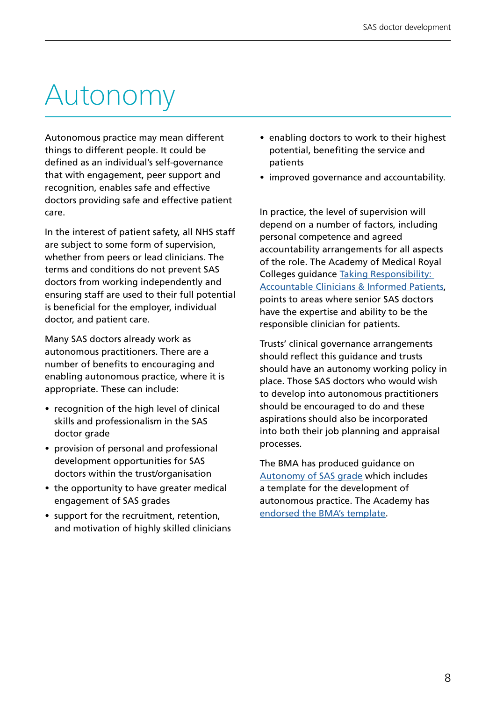## Autonomy

Autonomous practice may mean different things to different people. It could be defined as an individual's self-governance that with engagement, peer support and recognition, enables safe and effective doctors providing safe and effective patient care.

In the interest of patient safety, all NHS staff are subject to some form of supervision, whether from peers or lead clinicians. The terms and conditions do not prevent SAS doctors from working independently and ensuring staff are used to their full potential is beneficial for the employer, individual doctor, and patient care.

Many SAS doctors already work as autonomous practitioners. There are a number of benefits to encouraging and enabling autonomous practice, where it is appropriate. These can include:

- recognition of the high level of clinical skills and professionalism in the SAS doctor grade
- provision of personal and professional development opportunities for SAS doctors within the trust/organisation
- the opportunity to have greater medical engagement of SAS grades
- support for the recruitment, retention, and motivation of highly skilled clinicians
- enabling doctors to work to their highest potential, benefiting the service and patients
- improved governance and accountability.

In practice, the level of supervision will depend on a number of factors, including personal competence and agreed accountability arrangements for all aspects of the role. The Academy of Medical Royal Colleges guidance [Taking Responsibility:](http://www.aomrc.org.uk/publications/reports-guidance/taking-responsibility-accountable-clinicians/)  [Accountable Clinicians & Informed Patients](http://www.aomrc.org.uk/publications/reports-guidance/taking-responsibility-accountable-clinicians/), points to areas where senior SAS doctors have the expertise and ability to be the responsible clinician for patients.

Trusts' clinical governance arrangements should reflect this guidance and trusts should have an autonomy working policy in place. Those SAS doctors who would wish to develop into autonomous practitioners should be encouraged to do and these aspirations should also be incorporated into both their job planning and appraisal processes.

The BMA has produced guidance on [Autonomy of SAS grade](https://www.bma.org.uk/pay-and-contracts/contracts/sas-doctor-contract/autonomy-for-sas-grade-guidance) which includes a template for the development of autonomous practice. The Academy has [endorsed the BMA's template.](https://www.aomrc.org.uk/wp-content/uploads/2020/08/200221_SAS_Autonomous_practice_paper.pdf)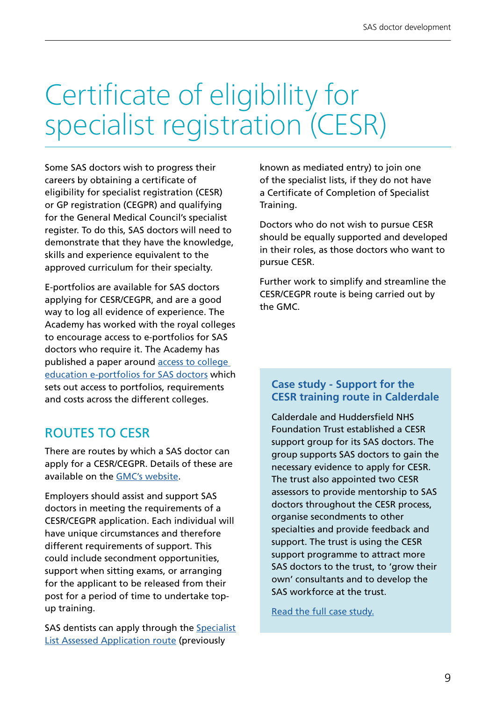## Certificate of eligibility for specialist registration (CESR)

Some SAS doctors wish to progress their careers by obtaining a certificate of eligibility for specialist registration (CESR) or GP registration (CEGPR) and qualifying for the General Medical Council's specialist register. To do this, SAS doctors will need to demonstrate that they have the knowledge, skills and experience equivalent to the approved curriculum for their specialty.

E-portfolios are available for SAS doctors applying for CESR/CEGPR, and are a good way to log all evidence of experience. The Academy has worked with the royal colleges to encourage access to e-portfolios for SAS doctors who require it. The Academy has published a paper around [access to college](https://www.aomrc.org.uk/wp-content/uploads/2020/08/200814_Access_to_college_eportfolio_SASdrs.pdf)  [education e-portfolios for SAS doctors](https://www.aomrc.org.uk/wp-content/uploads/2020/08/200814_Access_to_college_eportfolio_SASdrs.pdf) which sets out access to portfolios, requirements and costs across the different colleges.

### ROUTES TO CESR

There are routes by which a SAS doctor can apply for a CESR/CEGPR. Details of these are available on the [GMC's website](https://www.gmc-uk.org/registration-and-licensing/join-the-register/registration-applications/specialist-application-guides/specialist-registration-cesr-or-cegpr).

Employers should assist and support SAS doctors in meeting the requirements of a CESR/CEGPR application. Each individual will have unique circumstances and therefore different requirements of support. This could include secondment opportunities, support when sitting exams, or arranging for the applicant to be released from their post for a period of time to undertake topup training.

SAS dentists can apply through the [Specialist](https://www.gdc-uk.org/registration/your-registration/specialist-lists) [List Assessed Application route](https://www.gdc-uk.org/registration/your-registration/specialist-lists) (previously

known as mediated entry) to join one of the specialist lists, if they do not have a Certificate of Completion of Specialist Training.

Doctors who do not wish to pursue CESR should be equally supported and developed in their roles, as those doctors who want to pursue CESR.

Further work to simplify and streamline the CESR/CEGPR route is being carried out by the GMC.

#### **Case study - Support for the CESR training route in Calderdale**

Calderdale and Huddersfield NHS Foundation Trust established a CESR support group for its SAS doctors. The group supports SAS doctors to gain the necessary evidence to apply for CESR. The trust also appointed two CESR assessors to provide mentorship to SAS doctors throughout the CESR process, organise secondments to other specialties and provide feedback and support. The trust is using the CESR support programme to attract more SAS doctors to the trust, to 'grow their own' consultants and to develop the SAS workforce at the trust.

[Read the full case study.](https://www.nhsemployers.org/-/media/Employers/Publications/SAS-Case-Study-Calderdale.pdf)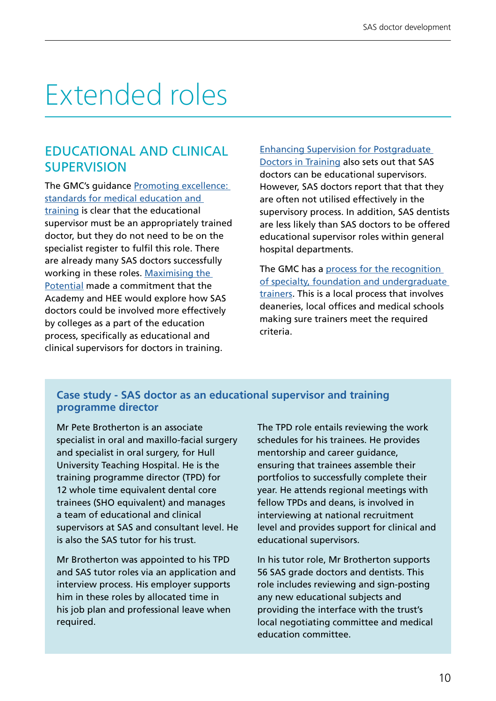## Extended roles

### EDUCATIONAL AND CLINICAL **SUPERVISION**

The GMC's guidance [Promoting excellence:](https://www.gmc-uk.org/-/media/documents/promoting-excellence-standards-for-medical-education-and-training-0715_pdf-61939165.pdf)  [standards for medical education and](https://www.gmc-uk.org/-/media/documents/promoting-excellence-standards-for-medical-education-and-training-0715_pdf-61939165.pdf)  [training](https://www.gmc-uk.org/-/media/documents/promoting-excellence-standards-for-medical-education-and-training-0715_pdf-61939165.pdf) is clear that the educational supervisor must be an appropriately trained doctor, but they do not need to be on the specialist register to fulfil this role. There are already many SAS doctors successfully working in these roles. [Maximising the](https://www.hee.nhs.uk/sites/default/files/documents/SAS_Report_Web.pdf)  [Potential](https://www.hee.nhs.uk/sites/default/files/documents/SAS_Report_Web.pdf) made a commitment that the Academy and HEE would explore how SAS doctors could be involved more effectively by colleges as a part of the education process, specifically as educational and clinical supervisors for doctors in training.

[Enhancing Supervision for Postgraduate](https://www.hee.nhs.uk/sites/default/files/documents/SupervisionReport_%20FINAL1.pdf)  [Doctors in Training](https://www.hee.nhs.uk/sites/default/files/documents/SupervisionReport_%20FINAL1.pdf) also sets out that SAS doctors can be educational supervisors. However, SAS doctors report that that they are often not utilised effectively in the supervisory process. In addition, SAS dentists are less likely than SAS doctors to be offered educational supervisor roles within general hospital departments.

The GMC has a [process for the recognition](https://www.gmc-uk.org/education/how-we-quality-assure/postgraduate-bodies/recognition-and-approval-of-trainers)  [of specialty, foundation and undergraduate](https://www.gmc-uk.org/education/how-we-quality-assure/postgraduate-bodies/recognition-and-approval-of-trainers)  [trainers.](https://www.gmc-uk.org/education/how-we-quality-assure/postgraduate-bodies/recognition-and-approval-of-trainers) This is a local process that involves deaneries, local offices and medical schools making sure trainers meet the required criteria.

#### **Case study - SAS doctor as an educational supervisor and training programme director**

Mr Pete Brotherton is an associate specialist in oral and maxillo-facial surgery and specialist in oral surgery, for Hull University Teaching Hospital. He is the training programme director (TPD) for 12 whole time equivalent dental core trainees (SHO equivalent) and manages a team of educational and clinical supervisors at SAS and consultant level. He is also the SAS tutor for his trust.

Mr Brotherton was appointed to his TPD and SAS tutor roles via an application and interview process. His employer supports him in these roles by allocated time in his job plan and professional leave when required.

The TPD role entails reviewing the work schedules for his trainees. He provides mentorship and career guidance, ensuring that trainees assemble their portfolios to successfully complete their year. He attends regional meetings with fellow TPDs and deans, is involved in interviewing at national recruitment level and provides support for clinical and educational supervisors.

In his tutor role, Mr Brotherton supports 56 SAS grade doctors and dentists. This role includes reviewing and sign-posting any new educational subjects and providing the interface with the trust's local negotiating committee and medical education committee.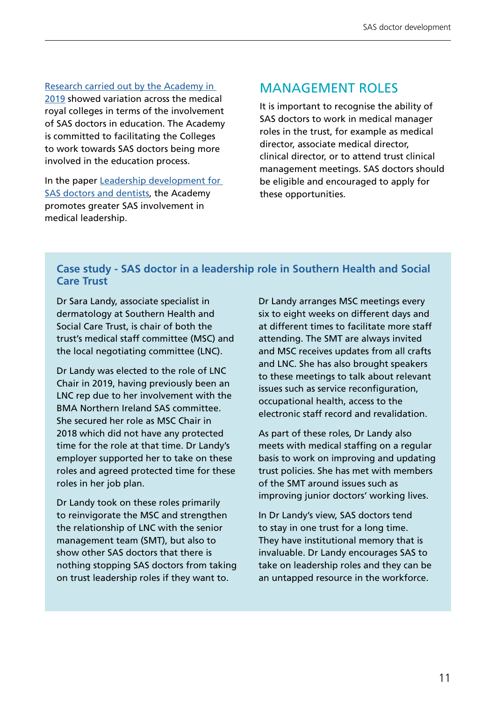#### [Research carried out by the Academy in](https://www.aomrc.org.uk/wp-content/uploads/2020/02/SAS_doctors_in_education_1019.pdf)

[2019](https://www.aomrc.org.uk/wp-content/uploads/2020/02/SAS_doctors_in_education_1019.pdf) showed variation across the medical royal colleges in terms of the involvement of SAS doctors in education. The Academy is committed to facilitating the Colleges to work towards SAS doctors being more involved in the education process.

In the paper Leadership development for [SAS doctors and dentists](https://www.aomrc.org.uk/wp-content/uploads/2020/08/200806_Leadership_development_for_SAS_drs_dnts.pdf), the Academy promotes greater SAS involvement in medical leadership.

#### MANAGEMENT ROLES

It is important to recognise the ability of SAS doctors to work in medical manager roles in the trust, for example as medical director, associate medical director, clinical director, or to attend trust clinical management meetings. SAS doctors should be eligible and encouraged to apply for these opportunities.

#### **Case study - SAS doctor in a leadership role in Southern Health and Social Care Trust**

Dr Sara Landy, associate specialist in dermatology at Southern Health and Social Care Trust, is chair of both the trust's medical staff committee (MSC) and the local negotiating committee (LNC).

Dr Landy was elected to the role of LNC Chair in 2019, having previously been an LNC rep due to her involvement with the BMA Northern Ireland SAS committee. She secured her role as MSC Chair in 2018 which did not have any protected time for the role at that time. Dr Landy's employer supported her to take on these roles and agreed protected time for these roles in her job plan.

Dr Landy took on these roles primarily to reinvigorate the MSC and strengthen the relationship of LNC with the senior management team (SMT), but also to show other SAS doctors that there is nothing stopping SAS doctors from taking on trust leadership roles if they want to.

Dr Landy arranges MSC meetings every six to eight weeks on different days and at different times to facilitate more staff attending. The SMT are always invited and MSC receives updates from all crafts and LNC. She has also brought speakers to these meetings to talk about relevant issues such as service reconfiguration, occupational health, access to the electronic staff record and revalidation.

As part of these roles, Dr Landy also meets with medical staffing on a regular basis to work on improving and updating trust policies. She has met with members of the SMT around issues such as improving junior doctors' working lives.

In Dr Landy's view, SAS doctors tend to stay in one trust for a long time. They have institutional memory that is invaluable. Dr Landy encourages SAS to take on leadership roles and they can be an untapped resource in the workforce.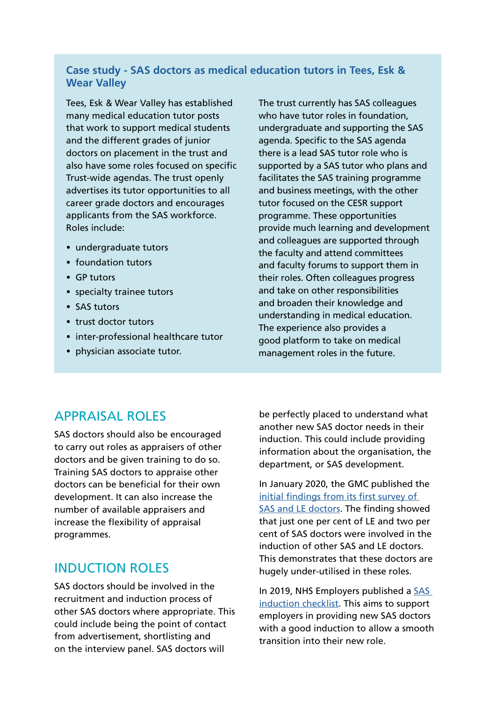#### **Case study - SAS doctors as medical education tutors in Tees, Esk & Wear Valley**

Tees, Esk & Wear Valley has established many medical education tutor posts that work to support medical students and the different grades of junior doctors on placement in the trust and also have some roles focused on specific Trust-wide agendas. The trust openly advertises its tutor opportunities to all career grade doctors and encourages applicants from the SAS workforce. Roles include:

- undergraduate tutors
- foundation tutors
- GP tutors
- specialty trainee tutors
- SAS tutors
- trust doctor tutors
- inter-professional healthcare tutor
- physician associate tutor.

The trust currently has SAS colleagues who have tutor roles in foundation. undergraduate and supporting the SAS agenda. Specific to the SAS agenda there is a lead SAS tutor role who is supported by a SAS tutor who plans and facilitates the SAS training programme and business meetings, with the other tutor focused on the CESR support programme. These opportunities provide much learning and development and colleagues are supported through the faculty and attend committees and faculty forums to support them in their roles. Often colleagues progress and take on other responsibilities and broaden their knowledge and understanding in medical education. The experience also provides a good platform to take on medical management roles in the future.

#### APPRAISAL ROLES

SAS doctors should also be encouraged to carry out roles as appraisers of other doctors and be given training to do so. Training SAS doctors to appraise other doctors can be beneficial for their own development. It can also increase the number of available appraisers and increase the flexibility of appraisal programmes.

#### INDUCTION ROLES

SAS doctors should be involved in the recruitment and induction process of other SAS doctors where appropriate. This could include being the point of contact from advertisement, shortlisting and on the interview panel. SAS doctors will

be perfectly placed to understand what another new SAS doctor needs in their induction. This could include providing information about the organisation, the department, or SAS development.

In January 2020, the GMC published the [initial findings from its first survey of](https://www.gmc-uk.org/education/standards-guidance-and-curricula/projects/survey-of-specialty-and-associate-specialist-and-locally-employed-doctors)  [SAS and LE doctors](https://www.gmc-uk.org/education/standards-guidance-and-curricula/projects/survey-of-specialty-and-associate-specialist-and-locally-employed-doctors). The finding showed that just one per cent of LE and two per cent of SAS doctors were involved in the induction of other SAS and LE doctors. This demonstrates that these doctors are hugely under-utilised in these roles.

In 2019, NHS Employers published a SAS [induction checklist](https://www.nhsemployers.org/case-studies-and-resources/2019/09/sas-induction-checklist). This aims to support employers in providing new SAS doctors with a good induction to allow a smooth transition into their new role.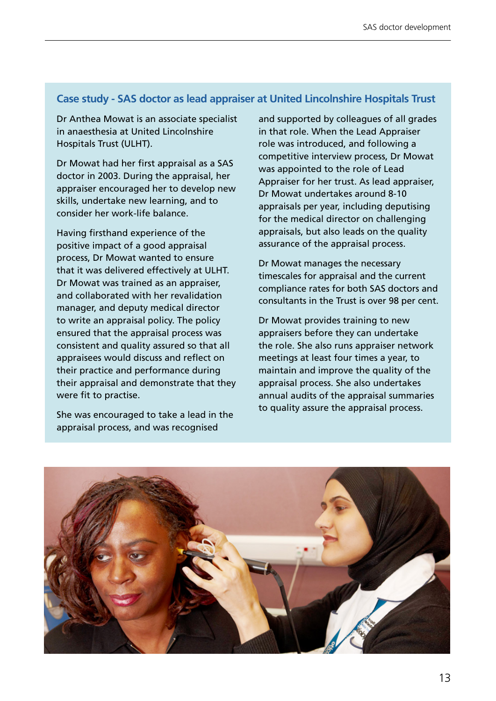#### **Case study - SAS doctor as lead appraiser at United Lincolnshire Hospitals Trust**

Dr Anthea Mowat is an associate specialist in anaesthesia at United Lincolnshire Hospitals Trust (ULHT).

Dr Mowat had her first appraisal as a SAS doctor in 2003. During the appraisal, her appraiser encouraged her to develop new skills, undertake new learning, and to consider her work-life balance.

Having firsthand experience of the positive impact of a good appraisal process, Dr Mowat wanted to ensure that it was delivered effectively at ULHT. Dr Mowat was trained as an appraiser, and collaborated with her revalidation manager, and deputy medical director to write an appraisal policy. The policy ensured that the appraisal process was consistent and quality assured so that all appraisees would discuss and reflect on their practice and performance during their appraisal and demonstrate that they were fit to practise.

She was encouraged to take a lead in the appraisal process, and was recognised

and supported by colleagues of all grades in that role. When the Lead Appraiser role was introduced, and following a competitive interview process, Dr Mowat was appointed to the role of Lead Appraiser for her trust. As lead appraiser, Dr Mowat undertakes around 8-10 appraisals per year, including deputising for the medical director on challenging appraisals, but also leads on the quality assurance of the appraisal process.

Dr Mowat manages the necessary timescales for appraisal and the current compliance rates for both SAS doctors and consultants in the Trust is over 98 per cent.

Dr Mowat provides training to new appraisers before they can undertake the role. She also runs appraiser network meetings at least four times a year, to maintain and improve the quality of the appraisal process. She also undertakes annual audits of the appraisal summaries to quality assure the appraisal process.

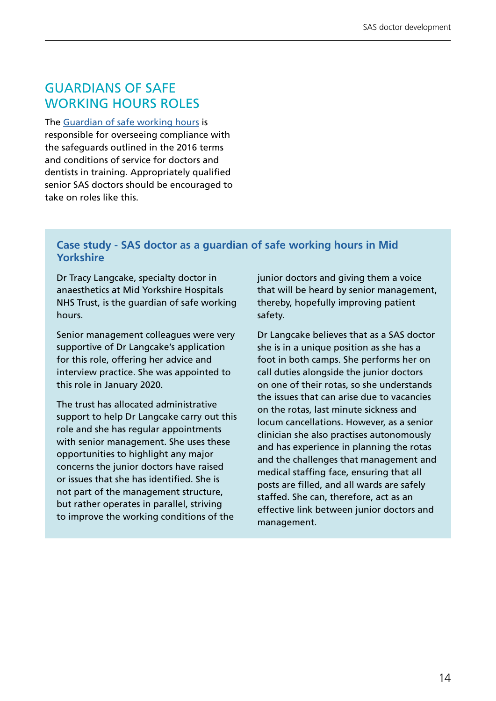### GUARDIANS OF SAFE WORKING HOURS ROLES

The [Guardian of safe working hours](https://www.nhsemployers.org/pay-pensions-and-reward/medical-staff/doctors-and-dentists-in-training/information-for-guardians) is responsible for overseeing compliance with the safeguards outlined in the 2016 terms and conditions of service for doctors and dentists in training. Appropriately qualified senior SAS doctors should be encouraged to take on roles like this.

#### **Case study - SAS doctor as a guardian of safe working hours in Mid Yorkshire**

Dr Tracy Langcake, specialty doctor in anaesthetics at Mid Yorkshire Hospitals NHS Trust, is the guardian of safe working hours.

Senior management colleagues were very supportive of Dr Langcake's application for this role, offering her advice and interview practice. She was appointed to this role in January 2020.

The trust has allocated administrative support to help Dr Langcake carry out this role and she has regular appointments with senior management. She uses these opportunities to highlight any major concerns the junior doctors have raised or issues that she has identified. She is not part of the management structure, but rather operates in parallel, striving to improve the working conditions of the

junior doctors and giving them a voice that will be heard by senior management, thereby, hopefully improving patient safety.

Dr Langcake believes that as a SAS doctor she is in a unique position as she has a foot in both camps. She performs her on call duties alongside the junior doctors on one of their rotas, so she understands the issues that can arise due to vacancies on the rotas, last minute sickness and locum cancellations. However, as a senior clinician she also practises autonomously and has experience in planning the rotas and the challenges that management and medical staffing face, ensuring that all posts are filled, and all wards are safely staffed. She can, therefore, act as an effective link between junior doctors and management.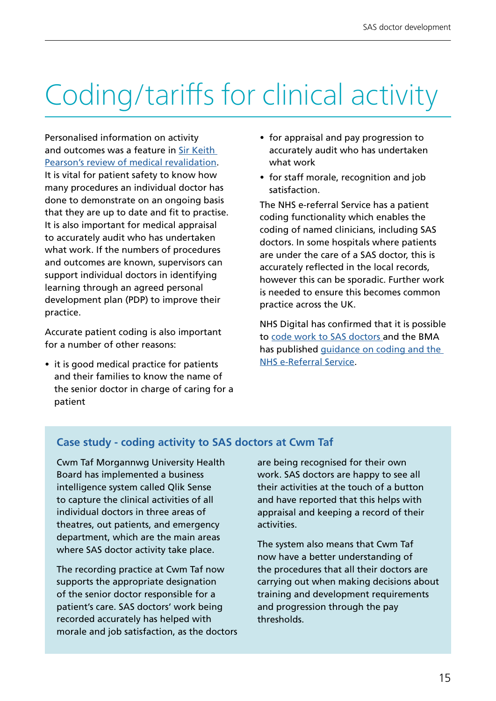## Coding/tariffs for clinical activity

Personalised information on activity and outcomes was a feature in [Sir Keith](https://www.gmc-uk.org/-/media/documents/Taking_revalidation_forward___Improving_the_process_of_relicensing_for_doctors.pdf_68683704.pdf)  [Pearson's review of medical revalidation.](https://www.gmc-uk.org/-/media/documents/Taking_revalidation_forward___Improving_the_process_of_relicensing_for_doctors.pdf_68683704.pdf) It is vital for patient safety to know how many procedures an individual doctor has done to demonstrate on an ongoing basis that they are up to date and fit to practise. It is also important for medical appraisal to accurately audit who has undertaken what work. If the numbers of procedures and outcomes are known, supervisors can support individual doctors in identifying learning through an agreed personal development plan (PDP) to improve their practice.

Accurate patient coding is also important for a number of other reasons:

• it is good medical practice for patients and their families to know the name of the senior doctor in charge of caring for a patient

- for appraisal and pay progression to accurately audit who has undertaken what work
- for staff morale, recognition and job satisfaction.

The NHS e-referral Service has a patient coding functionality which enables the coding of named clinicians, including SAS doctors. In some hospitals where patients are under the care of a SAS doctor, this is accurately reflected in the local records, however this can be sporadic. Further work is needed to ensure this becomes common practice across the UK.

NHS Digital has confirmed that it is possible to [code work to SAS doctors a](https://digital.nhs.uk/services/e-referral-service/providers#directory-of-services)nd the BMA has published [guidance on coding and the](https://www.bma.org.uk/advice-and-support/nhs-delivery-and-workforce/primary-and-secondary-care/nhs-e-referral-service-for-secondary-care-doctors)  [NHS e-Referral Service.](https://www.bma.org.uk/advice-and-support/nhs-delivery-and-workforce/primary-and-secondary-care/nhs-e-referral-service-for-secondary-care-doctors)

#### **Case study - coding activity to SAS doctors at Cwm Taf**

Cwm Taf Morgannwg University Health Board has implemented a business intelligence system called Qlik Sense to capture the clinical activities of all individual doctors in three areas of theatres, out patients, and emergency department, which are the main areas where SAS doctor activity take place.

The recording practice at Cwm Taf now supports the appropriate designation of the senior doctor responsible for a patient's care. SAS doctors' work being recorded accurately has helped with morale and job satisfaction, as the doctors

are being recognised for their own work. SAS doctors are happy to see all their activities at the touch of a button and have reported that this helps with appraisal and keeping a record of their activities.

The system also means that Cwm Taf now have a better understanding of the procedures that all their doctors are carrying out when making decisions about training and development requirements and progression through the pay thresholds.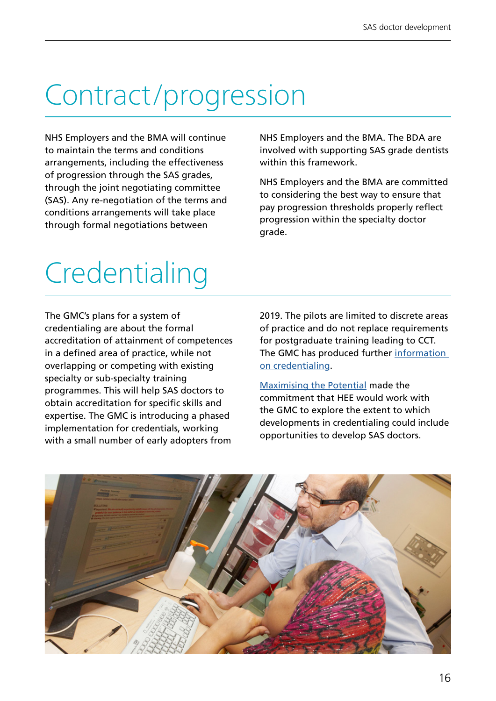## Contract/progression

NHS Employers and the BMA will continue to maintain the terms and conditions arrangements, including the effectiveness of progression through the SAS grades, through the joint negotiating committee (SAS). Any re-negotiation of the terms and conditions arrangements will take place through formal negotiations between

NHS Employers and the BMA. The BDA are involved with supporting SAS grade dentists within this framework.

NHS Employers and the BMA are committed to considering the best way to ensure that pay progression thresholds properly reflect progression within the specialty doctor grade.

## **Credentialing**

The GMC's plans for a system of credentialing are about the formal accreditation of attainment of competences in a defined area of practice, while not overlapping or competing with existing specialty or sub-specialty training programmes. This will help SAS doctors to obtain accreditation for specific skills and expertise. The GMC is introducing a phased implementation for credentials, working with a small number of early adopters from

2019. The pilots are limited to discrete areas of practice and do not replace requirements for postgraduate training leading to CCT. The GMC has produced further [information](https://www.gmc-uk.org/education/standards-guidance-and-curricula/projects/credentialing)  [on credentialing](https://www.gmc-uk.org/education/standards-guidance-and-curricula/projects/credentialing).

[Maximising the Potential](https://www.hee.nhs.uk/sites/default/files/documents/SAS_Report_Web.pdf) made the commitment that HEE would work with the GMC to explore the extent to which developments in credentialing could include opportunities to develop SAS doctors.

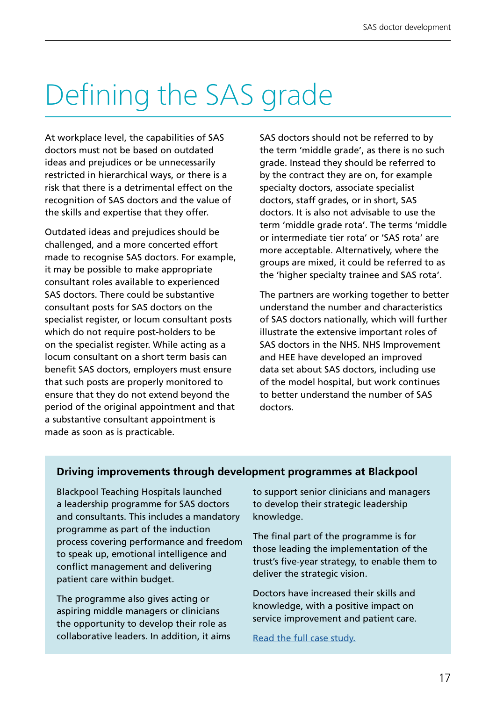## Defining the SAS grade

At workplace level, the capabilities of SAS doctors must not be based on outdated ideas and prejudices or be unnecessarily restricted in hierarchical ways, or there is a risk that there is a detrimental effect on the recognition of SAS doctors and the value of the skills and expertise that they offer.

Outdated ideas and prejudices should be challenged, and a more concerted effort made to recognise SAS doctors. For example, it may be possible to make appropriate consultant roles available to experienced SAS doctors. There could be substantive consultant posts for SAS doctors on the specialist register, or locum consultant posts which do not require post-holders to be on the specialist register. While acting as a locum consultant on a short term basis can benefit SAS doctors, employers must ensure that such posts are properly monitored to ensure that they do not extend beyond the period of the original appointment and that a substantive consultant appointment is made as soon as is practicable.

SAS doctors should not be referred to by the term 'middle grade', as there is no such grade. Instead they should be referred to by the contract they are on, for example specialty doctors, associate specialist doctors, staff grades, or in short, SAS doctors. It is also not advisable to use the term 'middle grade rota'. The terms 'middle or intermediate tier rota' or 'SAS rota' are more acceptable. Alternatively, where the groups are mixed, it could be referred to as the 'higher specialty trainee and SAS rota'.

The partners are working together to better understand the number and characteristics of SAS doctors nationally, which will further illustrate the extensive important roles of SAS doctors in the NHS. NHS Improvement and HEE have developed an improved data set about SAS doctors, including use of the model hospital, but work continues to better understand the number of SAS doctors.

#### **Driving improvements through development programmes at Blackpool**

Blackpool Teaching Hospitals launched a leadership programme for SAS doctors and consultants. This includes a mandatory programme as part of the induction process covering performance and freedom to speak up, emotional intelligence and conflict management and delivering patient care within budget.

The programme also gives acting or aspiring middle managers or clinicians the opportunity to develop their role as collaborative leaders. In addition, it aims to support senior clinicians and managers to develop their strategic leadership knowledge.

The final part of the programme is for those leading the implementation of the trust's five-year strategy, to enable them to deliver the strategic vision.

Doctors have increased their skills and knowledge, with a positive impact on service improvement and patient care.

[Read the full case study.](https://www.nhsemployers.org/-/media/Employers/Documents/Pay-and-reward/SAS-doctors/Blackpool-Teaching-Hospitals---January-2019.pdf)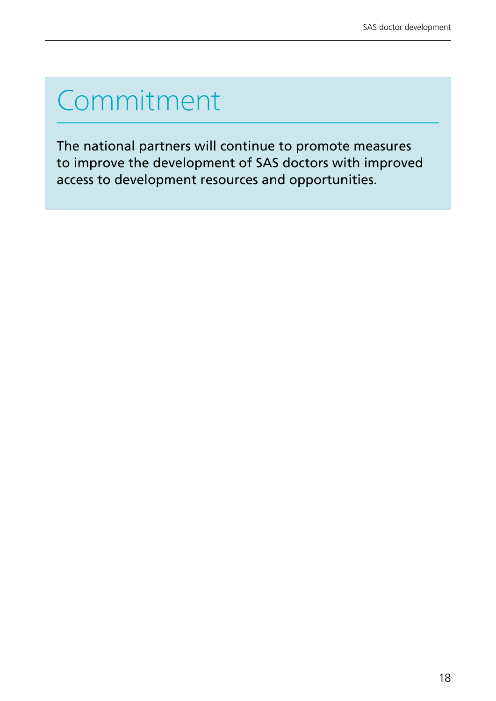## Commitment

The national partners will continue to promote measures to improve the development of SAS doctors with improved access to development resources and opportunities.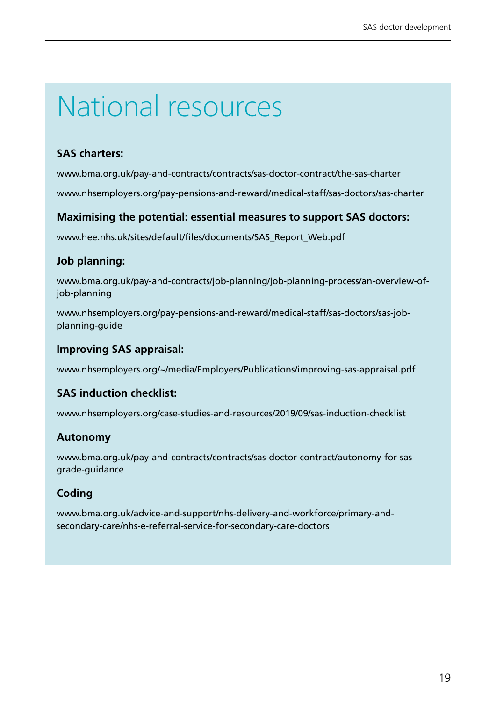## National resources

#### **SAS charters:**

[www.bma.org.uk/pay-and-contracts/contracts/sas-doctor-contract/the-sas-charter](http://www.bma.org.uk/pay-and-contracts/contracts/sas-doctor-contract/the-sas-charter)

[www.nhsemployers.org/pay-pensions-and-reward/medical-staff/sas-doctors/sas-charter](http://www.nhsemployers.org/pay-pensions-and-reward/medical-staff/sas-doctors/sas-charter)

#### **Maximising the potential: essential measures to support SAS doctors:**

[www.hee.nhs.uk/sites/default/files/documents/SAS\\_Report\\_Web.pdf](http://www.hee.nhs.uk/sites/default/files/documents/SAS_Report_Web.pdf)

#### **Job planning:**

[www.bma.org.uk/pay-and-contracts/job-planning/job-planning-process/an-overview-of](http://www.bma.org.uk/pay-and-contracts/job-planning/job-planning-process/an-overview-of-job-planning)[job-planning](http://www.bma.org.uk/pay-and-contracts/job-planning/job-planning-process/an-overview-of-job-planning)

[www.nhsemployers.org/pay-pensions-and-reward/medical-staff/sas-doctors/sas-job](http://www.nhsemployers.org/pay-pensions-and-reward/medical-staff/sas-doctors/sas-job-planning-guide)[planning-guide](http://www.nhsemployers.org/pay-pensions-and-reward/medical-staff/sas-doctors/sas-job-planning-guide)

#### **Improving SAS appraisal:**

[www.nhsemployers.org/~/media/Employers/Publications/improving-sas-appraisal.pdf](http://www.nhsemployers.org/~/media/Employers/Publications/improving-sas-appraisal.pdf)

#### **SAS induction checklist:**

[www.nhsemployers.org/case-studies-and-resources/2019/09/sas-induction-checklist](http://www.nhsemployers.org/case-studies-and-resources/2019/09/sas-induction-checklist)

#### **Autonomy**

[www.bma.org.uk/pay-and-contracts/contracts/sas-doctor-contract/autonomy-for-sas](http://www.bma.org.uk/pay-and-contracts/contracts/sas-doctor-contract/autonomy-for-sas-grade-guidance)[grade-guidance](http://www.bma.org.uk/pay-and-contracts/contracts/sas-doctor-contract/autonomy-for-sas-grade-guidance)

#### **Coding**

[www.bma.org.uk/advice-and-support/nhs-delivery-and-workforce/primary-and](http://www.bma.org.uk/advice-and-support/nhs-delivery-and-workforce/primary-and-secondary-care/nhs-e-referral-service-for-secondary-care-doctors)[secondary-care/nhs-e-referral-service-for-secondary-care-doctors](http://www.bma.org.uk/advice-and-support/nhs-delivery-and-workforce/primary-and-secondary-care/nhs-e-referral-service-for-secondary-care-doctors)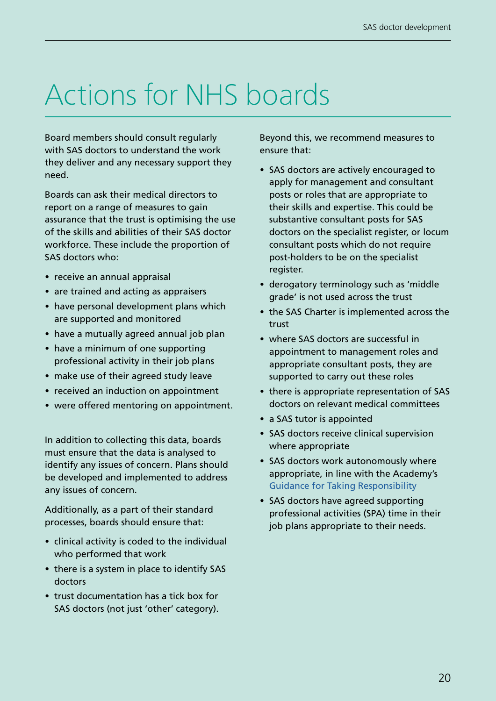## Actions for NHS boards

Board members should consult regularly with SAS doctors to understand the work they deliver and any necessary support they need.

Boards can ask their medical directors to report on a range of measures to gain assurance that the trust is optimising the use of the skills and abilities of their SAS doctor workforce. These include the proportion of SAS doctors who:

- receive an annual appraisal
- are trained and acting as appraisers
- have personal development plans which are supported and monitored
- have a mutually agreed annual job plan
- have a minimum of one supporting professional activity in their job plans
- make use of their agreed study leave
- received an induction on appointment
- were offered mentoring on appointment.

In addition to collecting this data, boards must ensure that the data is analysed to identify any issues of concern. Plans should be developed and implemented to address any issues of concern.

Additionally, as a part of their standard processes, boards should ensure that:

- clinical activity is coded to the individual who performed that work
- there is a system in place to identify SAS doctors
- trust documentation has a tick box for SAS doctors (not just 'other' category).

Beyond this, we recommend measures to ensure that:

- SAS doctors are actively encouraged to apply for management and consultant posts or roles that are appropriate to their skills and expertise. This could be substantive consultant posts for SAS doctors on the specialist register, or locum consultant posts which do not require post-holders to be on the specialist register.
- derogatory terminology such as 'middle grade' is not used across the trust
- the SAS Charter is implemented across the trust
- where SAS doctors are successful in appointment to management roles and appropriate consultant posts, they are supported to carry out these roles
- there is appropriate representation of SAS doctors on relevant medical committees
- a SAS tutor is appointed
- SAS doctors receive clinical supervision where appropriate
- SAS doctors work autonomously where appropriate, in line with the Academy's [Guidance for Taking Responsibility](http://www.aomrc.org.uk/publications/reports-guidance/taking-responsibility-accountable-clinicians/)
- SAS doctors have agreed supporting professional activities (SPA) time in their job plans appropriate to their needs.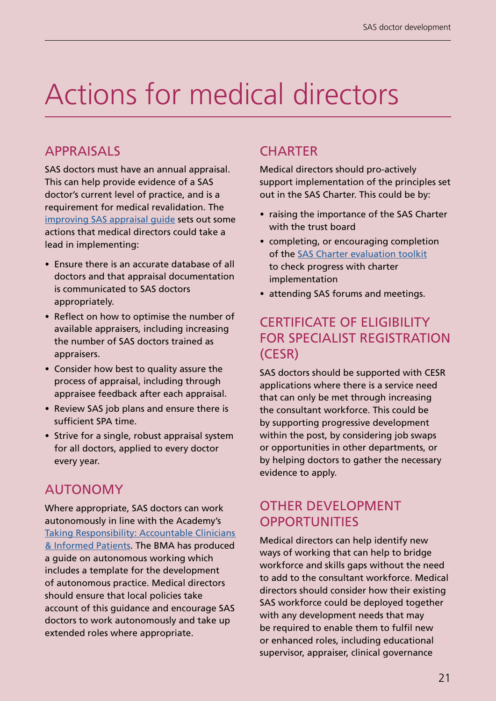## Actions for medical directors

### APPRAISALS

SAS doctors must have an annual appraisal. This can help provide evidence of a SAS doctor's current level of practice, and is a requirement for medical revalidation. The [improving SAS appraisal guide](https://www.nhsemployers.org/pay-pensions-and-reward/medical-staff/sas-doctors/terms-and-conditions/improving-sas-appraisal-guide) sets out some actions that medical directors could take a lead in implementing:

- Ensure there is an accurate database of all doctors and that appraisal documentation is communicated to SAS doctors appropriately.
- Reflect on how to optimise the number of available appraisers, including increasing the number of SAS doctors trained as appraisers.
- Consider how best to quality assure the process of appraisal, including through appraisee feedback after each appraisal.
- Review SAS job plans and ensure there is sufficient SPA time.
- Strive for a single, robust appraisal system for all doctors, applied to every doctor every year.

### AUTONOMY

Where appropriate, SAS doctors can work autonomously in line with the Academy's [Taking Responsibility: Accountable Clinicians](http://www.aomrc.org.uk/publications/reports-guidance/taking-responsibility-accountable-clinicians/)  [& Informed Patients.](http://www.aomrc.org.uk/publications/reports-guidance/taking-responsibility-accountable-clinicians/) The BMA has produced a guide on autonomous working which includes a template for the development of autonomous practice. Medical directors should ensure that local policies take account of this guidance and encourage SAS doctors to work autonomously and take up extended roles where appropriate.

### **CHARTER**

Medical directors should pro-actively support implementation of the principles set out in the SAS Charter. This could be by:

- raising the importance of the SAS Charter with the trust board
- completing, or encouraging completion of the [SAS Charter evaluation toolkit](https://www.nhsemployers.org/pay-pensions-and-reward/medical-staff/sas-doctors/sas-charter/sas-charter-evaluation-toolkit) to check progress with charter implementation
- attending SAS forums and meetings.

### CERTIFICATE OF ELIGIBILITY FOR SPECIALIST REGISTRATION (CESR)

SAS doctors should be supported with CESR applications where there is a service need that can only be met through increasing the consultant workforce. This could be by supporting progressive development within the post, by considering job swaps or opportunities in other departments, or by helping doctors to gather the necessary evidence to apply.

### OTHER DEVELOPMENT **OPPORTUNITIES**

Medical directors can help identify new ways of working that can help to bridge workforce and skills gaps without the need to add to the consultant workforce. Medical directors should consider how their existing SAS workforce could be deployed together with any development needs that may be required to enable them to fulfil new or enhanced roles, including educational supervisor, appraiser, clinical governance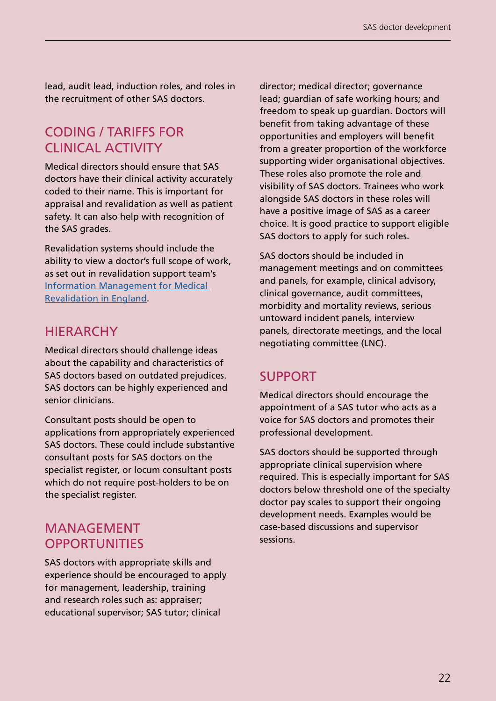lead, audit lead, induction roles, and roles in the recruitment of other SAS doctors.

### CODING / TARIFFS FOR CLINICAL ACTIVITY

Medical directors should ensure that SAS doctors have their clinical activity accurately coded to their name. This is important for appraisal and revalidation as well as patient safety. It can also help with recognition of the SAS grades.

Revalidation systems should include the ability to view a doctor's full scope of work, as set out in revalidation support team's [Information Management for Medical](https://www.england.nhs.uk/revalidation/wp-content/uploads/sites/10/2014/03/rst_revalidation_information_management_2014v41.pdf)  [Revalidation in England](https://www.england.nhs.uk/revalidation/wp-content/uploads/sites/10/2014/03/rst_revalidation_information_management_2014v41.pdf).

### HIERARCHY

Medical directors should challenge ideas about the capability and characteristics of SAS doctors based on outdated prejudices. SAS doctors can be highly experienced and senior clinicians.

Consultant posts should be open to applications from appropriately experienced SAS doctors. These could include substantive consultant posts for SAS doctors on the specialist register, or locum consultant posts which do not require post-holders to be on the specialist register.

### MANAGEMENT **OPPORTUNITIES**

SAS doctors with appropriate skills and experience should be encouraged to apply for management, leadership, training and research roles such as: appraiser; educational supervisor; SAS tutor; clinical

director; medical director; governance lead; guardian of safe working hours; and freedom to speak up guardian. Doctors will benefit from taking advantage of these opportunities and employers will benefit from a greater proportion of the workforce supporting wider organisational objectives. These roles also promote the role and visibility of SAS doctors. Trainees who work alongside SAS doctors in these roles will have a positive image of SAS as a career choice. It is good practice to support eligible SAS doctors to apply for such roles.

SAS doctors should be included in management meetings and on committees and panels, for example, clinical advisory, clinical governance, audit committees, morbidity and mortality reviews, serious untoward incident panels, interview panels, directorate meetings, and the local negotiating committee (LNC).

### SUPPORT

Medical directors should encourage the appointment of a SAS tutor who acts as a voice for SAS doctors and promotes their professional development.

SAS doctors should be supported through appropriate clinical supervision where required. This is especially important for SAS doctors below threshold one of the specialty doctor pay scales to support their ongoing development needs. Examples would be case-based discussions and supervisor sessions.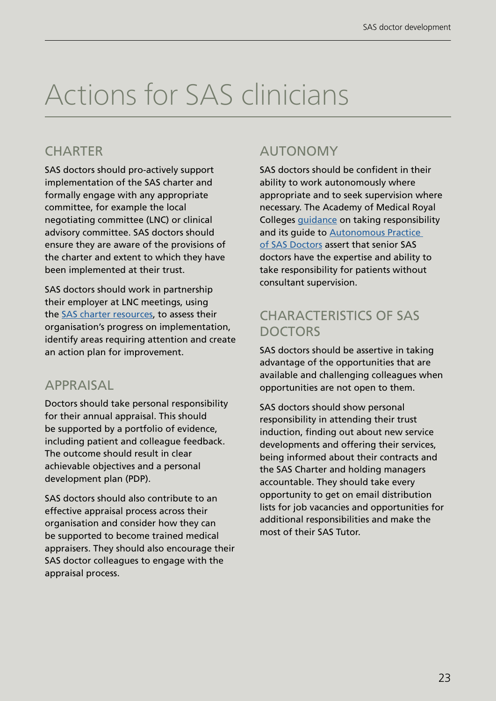## Actions for SAS clinicians

### **CHARTER**

SAS doctors should pro-actively support implementation of the SAS charter and formally engage with any appropriate committee, for example the local negotiating committee (LNC) or clinical advisory committee. SAS doctors should ensure they are aware of the provisions of the charter and extent to which they have been implemented at their trust.

SAS doctors should work in partnership their employer at LNC meetings, using the [SAS charter resources](https://www.nhsemployers.org/pay-pensions-and-reward/medical-staff/sas-doctors/sas-charter), to assess their organisation's progress on implementation, identify areas requiring attention and create an action plan for improvement.

### APPRAISAL

Doctors should take personal responsibility for their annual appraisal. This should be supported by a portfolio of evidence, including patient and colleague feedback. The outcome should result in clear achievable objectives and a personal development plan (PDP).

SAS doctors should also contribute to an effective appraisal process across their organisation and consider how they can be supported to become trained medical appraisers. They should also encourage their SAS doctor colleagues to engage with the appraisal process.

### AUTONOMY

SAS doctors should be confident in their ability to work autonomously where appropriate and to seek supervision where necessary. The Academy of Medical Royal Colleges [guidance](https://www.aomrc.org.uk/reports-guidance/taking-responsibility-accountable-clinicians/) on taking responsibility and its guide to [Autonomous Practice](https://www.aomrc.org.uk/wp-content/uploads/2020/08/200221_SAS_Autonomous_practice_paper.pdf)  [of SAS Doctors](https://www.aomrc.org.uk/wp-content/uploads/2020/08/200221_SAS_Autonomous_practice_paper.pdf) assert that senior SAS doctors have the expertise and ability to take responsibility for patients without consultant supervision.

### CHARACTERISTICS OF SAS DOCTORS

SAS doctors should be assertive in taking advantage of the opportunities that are available and challenging colleagues when opportunities are not open to them.

SAS doctors should show personal responsibility in attending their trust induction, finding out about new service developments and offering their services, being informed about their contracts and the SAS Charter and holding managers accountable. They should take every opportunity to get on email distribution lists for job vacancies and opportunities for additional responsibilities and make the most of their SAS Tutor.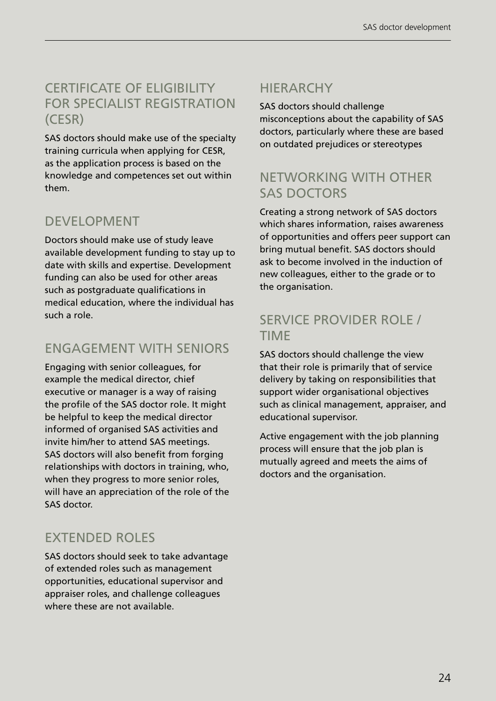### CERTIFICATE OF ELIGIBILITY FOR SPECIALIST REGISTRATION (CESR)

SAS doctors should make use of the specialty training curricula when applying for CESR, as the application process is based on the knowledge and competences set out within them.

### DEVELOPMENT

Doctors should make use of study leave available development funding to stay up to date with skills and expertise. Development funding can also be used for other areas such as postgraduate qualifications in medical education, where the individual has such a role.

### ENGAGEMENT WITH SENIORS

Engaging with senior colleagues, for example the medical director, chief executive or manager is a way of raising the profile of the SAS doctor role. It might be helpful to keep the medical director informed of organised SAS activities and invite him/her to attend SAS meetings. SAS doctors will also benefit from forging relationships with doctors in training, who, when they progress to more senior roles, will have an appreciation of the role of the SAS doctor.

### EXTENDED ROLES

SAS doctors should seek to take advantage of extended roles such as management opportunities, educational supervisor and appraiser roles, and challenge colleagues where these are not available.

### HIERARCHY

SAS doctors should challenge misconceptions about the capability of SAS doctors, particularly where these are based on outdated prejudices or stereotypes

### NETWORKING WITH OTHER SAS DOCTORS

Creating a strong network of SAS doctors which shares information, raises awareness of opportunities and offers peer support can bring mutual benefit. SAS doctors should ask to become involved in the induction of new colleagues, either to the grade or to the organisation.

### SERVICE PROVIDER ROLE / TIME

SAS doctors should challenge the view that their role is primarily that of service delivery by taking on responsibilities that support wider organisational objectives such as clinical management, appraiser, and educational supervisor.

Active engagement with the job planning process will ensure that the job plan is mutually agreed and meets the aims of doctors and the organisation.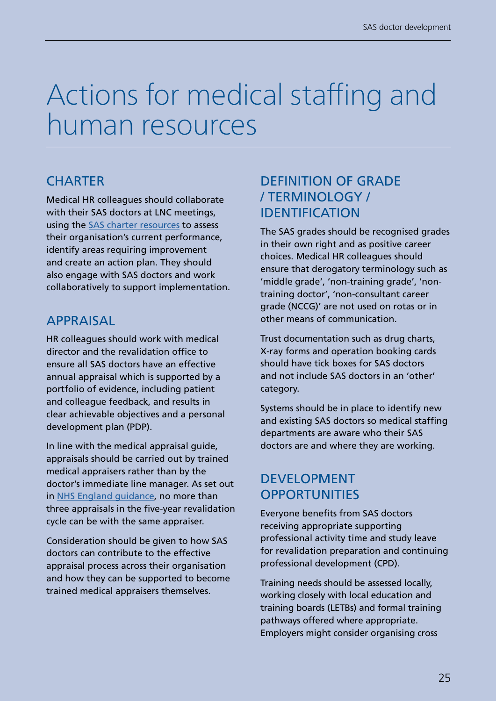## Actions for medical staffing and human resources

### **CHARTER**

Medical HR colleagues should collaborate with their SAS doctors at LNC meetings, using the [SAS charter resources](https://www.nhsemployers.org/pay-pensions-and-reward/medical-staff/sas-doctors/sas-charter) to assess their organisation's current performance, identify areas requiring improvement and create an action plan. They should also engage with SAS doctors and work collaboratively to support implementation.

### APPRAISAL

HR colleagues should work with medical director and the revalidation office to ensure all SAS doctors have an effective annual appraisal which is supported by a portfolio of evidence, including patient and colleague feedback, and results in clear achievable objectives and a personal development plan (PDP).

In line with the medical appraisal guide, appraisals should be carried out by trained medical appraisers rather than by the doctor's immediate line manager. As set out in [NHS England guidance](https://www.england.nhs.uk/revalidation/wp-content/uploads/sites/10/2015/05/medical-appraisal-policy-0415.pdf), no more than three appraisals in the five-year revalidation cycle can be with the same appraiser.

Consideration should be given to how SAS doctors can contribute to the effective appraisal process across their organisation and how they can be supported to become trained medical appraisers themselves.

### DEFINITION OF GRADE / TERMINOLOGY / IDENTIFICATION

The SAS grades should be recognised grades in their own right and as positive career choices. Medical HR colleagues should ensure that derogatory terminology such as 'middle grade', 'non-training grade', 'nontraining doctor', 'non-consultant career grade (NCCG)' are not used on rotas or in other means of communication.

Trust documentation such as drug charts, X-ray forms and operation booking cards should have tick boxes for SAS doctors and not include SAS doctors in an 'other' category.

Systems should be in place to identify new and existing SAS doctors so medical staffing departments are aware who their SAS doctors are and where they are working.

### DEVELOPMENT **OPPORTUNITIES**

Everyone benefits from SAS doctors receiving appropriate supporting professional activity time and study leave for revalidation preparation and continuing professional development (CPD).

Training needs should be assessed locally, working closely with local education and training boards (LETBs) and formal training pathways offered where appropriate. Employers might consider organising cross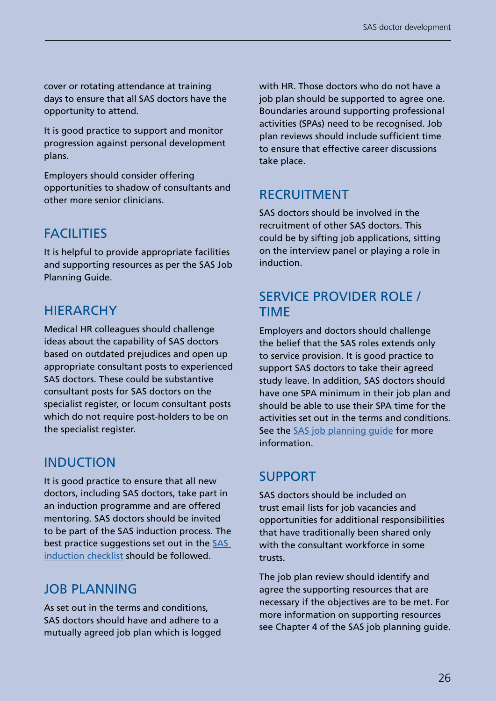cover or rotating attendance at training days to ensure that all SAS doctors have the opportunity to attend.

It is good practice to support and monitor progression against personal development plans.

Employers should consider offering opportunities to shadow of consultants and other more senior clinicians.

### **FACILITIES**

It is helpful to provide appropriate facilities and supporting resources as per the SAS Job Planning Guide.

### HIERARCHY

Medical HR colleagues should challenge ideas about the capability of SAS doctors based on outdated prejudices and open up appropriate consultant posts to experienced SAS doctors. These could be substantive consultant posts for SAS doctors on the specialist register, or locum consultant posts which do not require post-holders to be on the specialist register.

### INDUCTION

It is good practice to ensure that all new doctors, including SAS doctors, take part in an induction programme and are offered mentoring. SAS doctors should be invited to be part of the SAS induction process. The best practice suggestions set out in the SAS [induction checklist](https://www.nhsemployers.org/case-studies-and-resources/2019/09/sas-induction-checklist) should be followed.

### JOB PLANNING

As set out in the terms and conditions, SAS doctors should have and adhere to a mutually agreed job plan which is logged with HR. Those doctors who do not have a job plan should be supported to agree one. Boundaries around supporting professional activities (SPAs) need to be recognised. Job plan reviews should include sufficient time to ensure that effective career discussions take place.

### RECRUITMENT

SAS doctors should be involved in the recruitment of other SAS doctors. This could be by sifting job applications, sitting on the interview panel or playing a role in induction.

### SERVICE PROVIDER ROLE / TIME

Employers and doctors should challenge the belief that the SAS roles extends only to service provision. It is good practice to support SAS doctors to take their agreed study leave. In addition, SAS doctors should have one SPA minimum in their job plan and should be able to use their SPA time for the activities set out in the terms and conditions. See the [SAS job planning guide](https://www.nhsemployers.org/pay-pensions-and-reward/medical-staff/sas-doctors/sas-job-planning-guide) for more information.

### SUPPORT

SAS doctors should be included on trust email lists for job vacancies and opportunities for additional responsibilities that have traditionally been shared only with the consultant workforce in some trusts.

The job plan review should identify and agree the supporting resources that are necessary if the objectives are to be met. For more information on supporting resources see Chapter 4 of the SAS job planning guide.